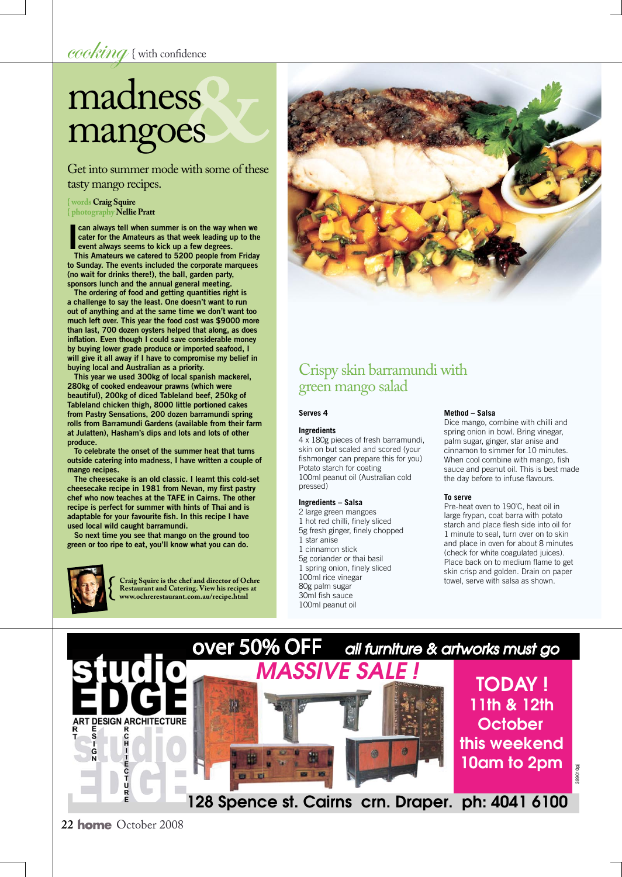cooking { with confidence

# madness mangoes

Get into summer mode with some of these tasty mango recipes.

#### **{ words Craig Squire { photography Nellie Pratt**

can always tell when summer is on the way when we<br>cater for the Amateurs as that week leading up to the<br>event always seems to kick up a few degrees.<br>This Amateurs we catered to 5200 poople from Friday cater for the Amateurs as that week leading up to the event always seems to kick up a few degrees.

This Amateurs we catered to 5200 people from Friday to Sunday. The events included the corporate marquees (no wait for drinks there!), the ball, garden party, sponsors lunch and the annual general meeting.

The ordering of food and getting quantities right is a challenge to say the least. One doesn't want to run out of anything and at the same time we don't want too much left over. This year the food cost was \$9000 more than last, 700 dozen oysters helped that along, as does inflation. Even though I could save considerable money by buying lower grade produce or imported seafood, I will give it all away if I have to compromise my belief in buying local and Australian as a priority.

This year we used 300kg of local spanish mackerel, 280kg of cooked endeavour prawns (which were beautiful), 200kg of diced Tableland beef, 250kg of Tableland chicken thigh, 8000 little portioned cakes from Pastry Sensations, 200 dozen barramundi spring rolls from Barramundi Gardens (available from their farm at Julatten), Hasham's dips and lots and lots of other produce.

To celebrate the onset of the summer heat that turns outside catering into madness, I have written a couple of mango recipes.

The cheesecake is an old classic. I learnt this cold-set cheesecake recipe in 1981 from Nevan, my first pastry chef who now teaches at the TAFE in Cairns. The other recipe is perfect for summer with hints of Thai and is adaptable for your favourite fish. In this recipe I have used local wild caught barramundi.

So next time you see that mango on the ground too green or too ripe to eat, you'll know what you can do.



**Craig Squire is the chef and director of Ochre Restaurant and Catering. View his recipes at www.ochrerestaurant.com.au/recipe.html**



### Crispy skin barramundi with green mango salad

#### **Serves 4**

#### **Ingredients**

4 x 180g pieces of fresh barramundi, skin on but scaled and scored (your fishmonger can prepare this for you) Potato starch for coating 100ml peanut oil (Australian cold pressed)

#### **Ingredients – Salsa**

2 large green mangoes 1 hot red chilli, finely sliced 5g fresh ginger, finely chopped 1 star anise 1 cinnamon stick 5g coriander or thai basil 1 spring onion, finely sliced 100ml rice vinegar 80g palm sugar 30ml fish sauce 100ml peanut oil

#### **Method – Salsa**

Dice mango, combine with chilli and spring onion in bowl. Bring vinegar, palm sugar, ginger, star anise and cinnamon to simmer for 10 minutes. When cool combine with mango, fish sauce and peanut oil. This is best made the day before to infuse flavours.

#### **To serve**

Pre-heat oven to 190˚C, heat oil in large frypan, coat barra with potato starch and place flesh side into oil for 1 minute to seal, turn over on to skin and place in oven for about 8 minutes (check for white coagulated juices). Place back on to medium flame to get skin crisp and golden. Drain on paper towel, serve with salsa as shown.